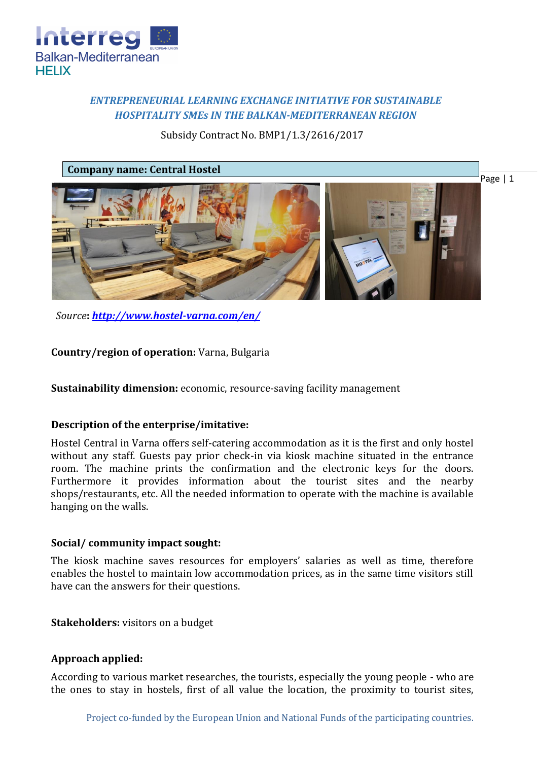

# *ENTREPRENEURIAL LEARNING EXCHANGE INITIATIVE FOR SUSTAINABLE HOSPITALITY SMEs IN THE BALKAN-MEDITERRANEAN REGION*

Subsidy Contract No. BMP1/1.3/2616/2017

# **Company name: Central Hostel**



*Source***:** *<http://www.hostel-varna.com/en/>*

**Country/region of operation:** Varna, Bulgaria

**Sustainability dimension:** economic, resource-saving facility management

### **Description of the enterprise/imitative:**

Hostel Central in Varna offers self-catering accommodation as it is the first and only hostel without any staff. Guests pay prior check-in via kiosk machine situated in the entrance room. The machine prints the confirmation and the electronic keys for the doors. Furthermore it provides information about the tourist sites and the nearby shops/restaurants, etc. All the needed information to operate with the machine is available hanging on the walls.

### **Social/ community impact sought:**

The kiosk machine saves resources for employers' salaries as well as time, therefore enables the hostel to maintain low accommodation prices, as in the same time visitors still have can the answers for their questions.

**Stakeholders:** visitors on a budget

# **Approach applied:**

According to various market researches, the tourists, especially the young people - who are the ones to stay in hostels, first of all value the location, the proximity to tourist sites,